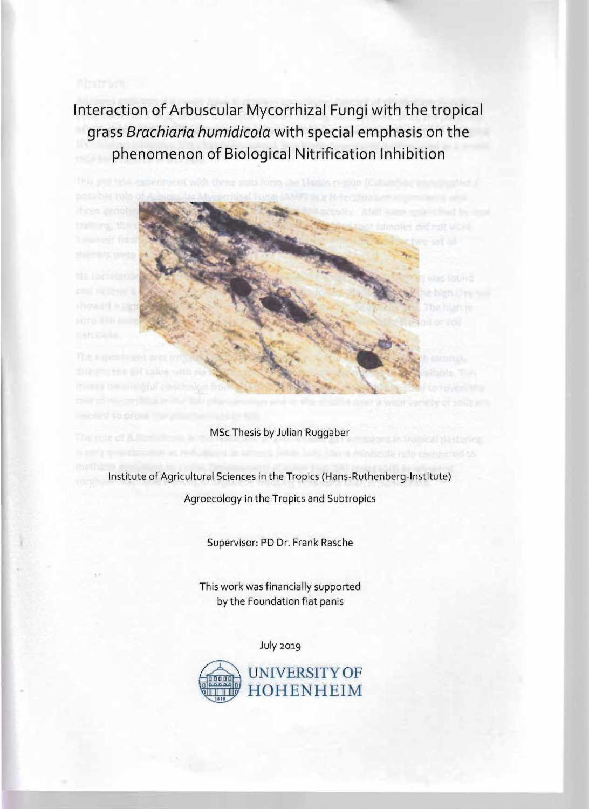**Interaction of Arbuscular Mycorrhizal Fungi with the tropical grass Brachiaria humidicola with special emphasis on the** phenomenon of Biological Nitrification Inhibition



MSc Thesis by Julian Ruggaber

Institute of Agricultural Sciences in the Tropics (Hans-Ruthenberg-Institute) Agroecology in the Tropics and Subtropics

Supervisor: PD Dr. Frank Rasche

This work was financially supported by the Foundation fiat panis

July 2019